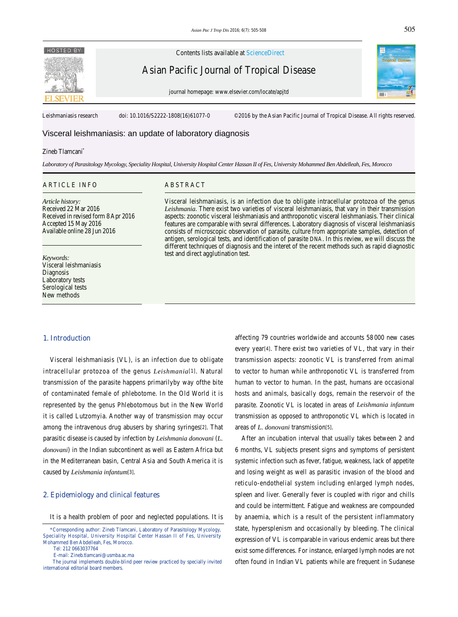

Contents lists available at ScienceDirect

Asian Pacific Journal of Tropical Disease

journal homepage: www.elsevier.com/locate/apjtd



Leishmaniasis research doi: 10.1016/S2222-1808(16)61077-0 ©2016 by the Asian Pacific Journal of Tropical Disease. All rights reserved.

# Visceral leishmaniasis: an update of laboratory diagnosis

#### Zineb Tlamcani\*

*Laboratory of Parasitology Mycology, Speciality Hospital, University Hospital Center Hassan II of Fes, University Mohammed Ben Abdelleah, Fes, Morocco*

#### ARTICLE INFO ABSTRACT

*Article history:* Received 22 Mar 2016 Received in revised form 8 Apr 2016 Accepted 15 May 2016 Available online 28 Jun 2016

#### *Keywords:* Visceral leishmaniasis **Diagnosis** Laboratory tests Serological tests New methods

Visceral leishmaniasis, is an infection due to obligate intracellular protozoa of the genus *Leishmania*. There exist two varieties of visceral leishmaniasis, that vary in their transmission aspects: zoonotic visceral leishmaniasis and anthroponotic visceral leishmaniasis. Their clinical features are comparable with sevral differences. Laboratory diagnosis of visceral leishmaniasis consists of microscopic observation of parasite, culture from appropriate samples, detection of antigen, serological tests, and identification of parasite DNA. In this review, we will discuss the different techniques of diagnosis and the interet of the recent methods such as rapid diagnostic test and direct agglutination test.

#### **1. Introduction**

 Visceral leishmaniasis (VL), is an infection due to obligate intracellular protozoa of the genus *Leishmania*[1]. Natural transmission of the parasite happens primarilyby way ofthe bite of contaminated female of phlebotome. In the Old World it is represented by the genus Phlebotomous but in the New World it is called Lutzomyia. Another way of transmission may occur among the intravenous drug abusers by sharing syringes[2]. That parasitic disease is caused by infection by *Leishmania donovani* (*L. donovani*) in the Indian subcontinent as well as Eastern Africa but in the Mediterranean basin, Central Asia and South America it is caused by *Leishmania infantum*[3].

#### **2. Epidemiology and clinical features**

It is a health problem of poor and neglected populations. It is

E-mail: Zineb.tlamcani@usmba.ac.ma

affecting 79 countries worldwide and accounts 58 000 new cases every year[4]. There exist two varieties of VL, that vary in their transmission aspects: zoonotic VL is transferred from animal to vector to human while anthroponotic VL is transferred from human to vector to human. In the past, humans are occasional hosts and animals, basically dogs, remain the reservoir of the parasite. Zoonotic VL is located in areas of *Leishmania infantum* transmission as opposed to anthroponotic VL which is located in areas of *L. donovani* transmission[5].

 After an incubation interval that usually takes between 2 and 6 months, VL subjects present signs and symptoms of persistent systemic infection such as fever, fatigue, weakness, lack of appetite and losing weight as well as parasitic invasion of the blood and reticulo-endothelial system including enlarged lymph nodes, spleen and liver. Generally fever is coupled with rigor and chills and could be intermittent. Fatigue and weakness are compounded by anaemia, which is a result of the persistent inflammatory state, hypersplenism and occasionally by bleeding. The clinical expression of VL is comparable in various endemic areas but there exist some differences. For instance, enlarged lymph nodes are not often found in Indian VL patients while are frequent in Sudanese

 <sup>\*</sup>Corresponding author: Zineb Tlamcani, Laboratory of Parasitology Mycology, Speciality Hospital, University Hospital Center Hassan II of Fes, University Mohammed Ben Abdelleah, Fes, Morocco.

Tel: 212 0663037764

The journal implements double-blind peer review practiced by specially invited international editorial board members.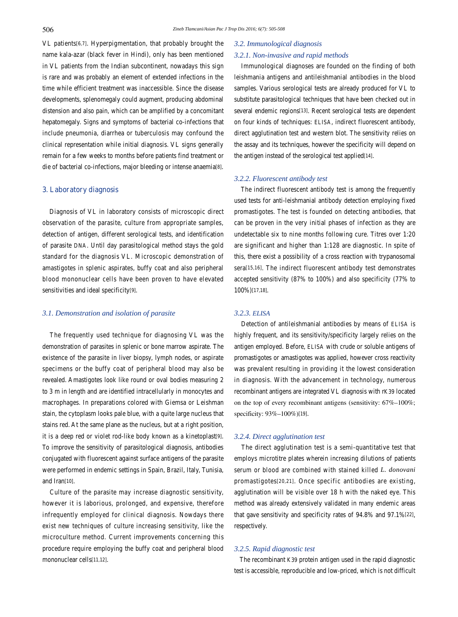VL patients[6,7]. Hyperpigmentation, that probably brought the name kala-azar (black fever in Hindi), only has been mentioned in VL patients from the Indian subcontinent, nowadays this sign is rare and was probably an element of extended infections in the time while efficient treatment was inaccessible. Since the disease developments, splenomegaly could augment, producing abdominal distension and also pain, which can be amplified by a concomitant hepatomegaly. Signs and symptoms of bacterial co-infections that include pneumonia, diarrhea or tuberculosis may confound the clinical representation while initial diagnosis. VL signs generally remain for a few weeks to months before patients find treatment or die of bacterial co-infections, major bleeding or intense anaemia[8].

#### **3. Laboratory diagnosis**

 Diagnosis of VL in laboratory consists of microscopic direct observation of the parasite, culture from appropriate samples, detection of antigen, different serological tests, and identification of parasite DNA. Until day parasitological method stays the gold standard for the diagnosis VL. Microscopic demonstration of amastigotes in splenic aspirates, buffy coat and also peripheral blood mononuclear cells have been proven to have elevated sensitivities and ideal specificity[9].

## *3.1. Demonstration and isolation of parasite*

 The frequently used technique for diagnosing VL was the demonstration of parasites in splenic or bone marrow aspirate. The existence of the parasite in liver biopsy, lymph nodes, or aspirate specimens or the buffy coat of peripheral blood may also be revealed. Amastigotes look like round or oval bodies measuring 2 to 3 m in length and are identified intracellularly in monocytes and macrophages. In preparations colored with Giemsa or Leishman stain, the cytoplasm looks pale blue, with a quite large nucleus that stains red. At the same plane as the nucleus, but at a right position, it is a deep red or violet rod-like body known as a kinetoplast[9]. To improve the sensitivity of parasitological diagnosis, antibodies conjugated with fluorescent against surface antigens of the parasite were performed in endemic settings in Spain, Brazil, Italy, Tunisia, and Iran[10].

 Culture of the parasite may increase diagnostic sensitivity, however it is laborious, prolonged, and expensive, therefore infrequently employed for clinical diagnosis. Nowdays there exist new techniques of culture increasing sensitivity, like the microculture method. Current improvements concerning this procedure require employing the buffy coat and peripheral blood mononuclear cells[11,12].

# *3.2. Immunological diagnosis*

# *3.2.1. Non-invasive and rapid methods*

 Immunological diagnoses are founded on the finding of both leishmania antigens and antileishmanial antibodies in the blood samples. Various serological tests are already produced for VL to substitute parasitological techniques that have been checked out in several endemic regions[13]. Recent serological tests are dependent on four kinds of techniques: ELISA, indirect fluorescent antibody, direct agglutination test and western blot. The sensitivity relies on the assay and its techniques, however the specificity will depend on the antigen instead of the serological test applied[14].

# *3.2.2. Fluorescent antibody test*

 The indirect fluorescent antibody test is among the frequently used tests for anti-leishmanial antibody detection employing fixed promastigotes. The test is founded on detecting antibodies, that can be proven in the very initial phases of infection as they are undetectable six to nine months following cure. Titres over 1:20 are significant and higher than 1:128 are diagnostic. In spite of this, there exist a possibility of a cross reaction with trypanosomal sera[15,16]. The indirect fluorescent antibody test demonstrates accepted sensitivity (87% to 100%) and also specificity (77% to 100%)[17,18].

## *3.2.3. ELISA*

 Detection of antileishmanial antibodies by means of ELISA is highly frequent, and its sensitivity/specificity largely relies on the antigen employed. Before, ELISA with crude or soluble antigens of promastigotes or amastigotes was applied, however cross reactivity was prevalent resulting in providing it the lowest consideration in diagnosis. With the advancement in technology, numerous recombinant antigens are integrated VL diagnosis with rK39 located on the top of every recombinant antigens (sensitivity: 67%–100%; specificity: 93%–100%)[19].

# *3.2.4. Direct agglutination test*

 The direct agglutination test is a semi-quantitative test that employs microtitre plates wherein increasing dilutions of patients serum or blood are combined with stained killed *L. donovani* promastigotes[20,21]. Once specific antibodies are existing, agglutination will be visible over 18 h with the naked eye. This method was already extensively validated in many endemic areas that gave sensitivity and specificity rates of 94.8% and 97.1%[22], respectively.

## *3.2.5. Rapid diagnostic test*

 The recombinant K39 protein antigen used in the rapid diagnostic test is accessible, reproducible and low-priced, which is not difficult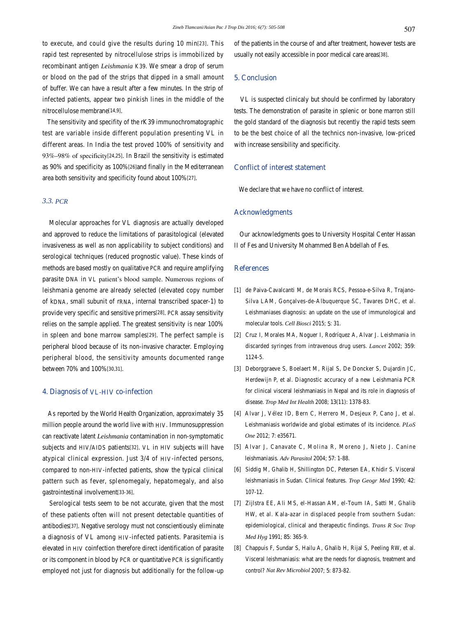to execute, and could give the results during 10 min[23]. This rapid test represented by nitrocellulose strips is immobilized by recombinant antigen *Leishmania* K39. We smear a drop of serum or blood on the pad of the strips that dipped in a small amount of buffer. We can have a result after a few minutes. In the strip of infected patients, appear two pinkish lines in the middle of the nitrocellulose membrane[14,9].

 The sensitivity and specifity of the rK39 immunochromatographic test are variable inside different population presenting VL in different areas. In India the test proved 100% of sensitivity and 93%–98% of specificity[24,25]. In Brazil the sensitivity is estimated as 90% and specificity as 100%[26]and finally in the Mediterranean area both sensitivity and specificity found about 100%[27].

# *3.3. PCR*

 Molecular approaches for VL diagnosis are actually developed and approved to reduce the limitations of parasitological (elevated invasiveness as well as non applicability to subject conditions) and serological techniques (reduced prognostic value). These kinds of methods are based mostly on qualitative PCR and require amplifying parasite DNA in VL patient's blood sample. Numerous regions of leishmania genome are already selected (elevated copy number of kDNA, small subunit of rRNA, internal transcribed spacer-1) to provide very specific and sensitive primers[28]. PCR assay sensitivity relies on the sample applied. The greatest sensitivity is near 100% in spleen and bone marrow samples[29]. The perfect sample is peripheral blood because of its non-invasive character. Employing peripheral blood, the sensitivity amounts documented range between 70% and 100%[30,31].

# **4. Diagnosis of VL-HIV co-infection**

 As reported by the World Health Organization, approximately 35 million people around the world live with HIV. Immunosuppression can reactivate latent *Leishmania* contamination in non-symptomatic subjects and HIV/AIDS patients[32]. VL in HIV subjects will have atypical clinical expression. Just 3/4 of HIV-infected persons, compared to non-HIV-infected patients, show the typical clinical pattern such as fever, splenomegaly, hepatomegaly, and also gastrointestinal involvement[33-36].

 Serological tests seem to be not accurate, given that the most of these patients often will not present detectable quantities of antibodies[37]. Negative serology must not conscientiously eliminate a diagnosis of VL among HIV-infected patients. Parasitemia is elevated in HIV coinfection therefore direct identification of parasite or its component in blood by PCR or quantitative PCR is significantly employed not just for diagnosis but additionally for the follow-up of the patients in the course of and after treatment, however tests are usually not easily accessible in poor medical care areas[38].

# **5. Conclusion**

 VL is suspected clinicaly but should be confirmed by laboratory tests. The demonstration of parasite in splenic or bone marron still the gold standard of the diagnosis but recently the rapid tests seem to be the best choice of all the technics non-invasive, low-priced with increase sensibility and specificity.

# **Conflict of interest statement**

We declare that we have no conflict of interest.

#### **Acknowledgments**

 Our acknowledgments goes to University Hospital Center Hassan II of Fes and University Mohammed Ben Abdellah of Fes.

# **References**

- [1] de Paiva-Cavalcanti M, de Morais RCS, Pessoa-e-Silva R, Trajano-Silva LAM, Gonçalves-de-Albuquerque SC, Tavares DHC, et al. Leishmaniases diagnosis: an update on the use of immunological and molecular tools. *Cell Biosci* 2015; **5**: 31.
- [2] Cruz I, Morales MA, Noguer I, Rodríquez A, Alvar J. Leishmania in discarded syringes from intravenous drug users. *Lancet* 2002; **359**: 1124-5.
- [3] Deborggraeve S, Boelaert M, Rijal S, De Doncker S, Dujardin JC, Herdewijn P, et al. Diagnostic accuracy of a new Leishmania PCR for clinical visceral leishmaniasis in Nepal and its role in diagnosis of disease. *Trop Med Int Health* 2008; **13**(11): 1378-83.
- [4] Alvar J, Vélez ID, Bern C, Herrero M, Desjeux P, Cano J, et al. Leishmaniasis worldwide and global estimates of its incidence. *PLoS One* 2012; **7**: e35671.
- [5] Alvar J, Canavate C, Molina R, Moreno J, Nieto J. Canine leishmaniasis. *Adv Parasitol* 2004; **57**: 1-88.
- [6] Siddig M, Ghalib H, Shillington DC, Petersen EA, Khidir S. Visceral leishmaniasis in Sudan. Clinical features. *Trop Geogr Med* 1990; **42**: 107-12.
- [7] Zijlstra EE, Ali MS, el-Hassan AM, el-Toum IA, Satti M, Ghalib HW, et al. Kala-azar in displaced people from southern Sudan: epidemiological, clinical and therapeutic findings. *Trans R Soc Trop Med Hyg* 1991; **85**: 365-9.
- [8] Chappuis F, Sundar S, Hailu A, Ghalib H, Rijal S, Peeling RW, et al. Visceral leishmaniasis: what are the needs for diagnosis, treatment and control? *Nat Rev Microbiol* 2007; **5**: 873-82.